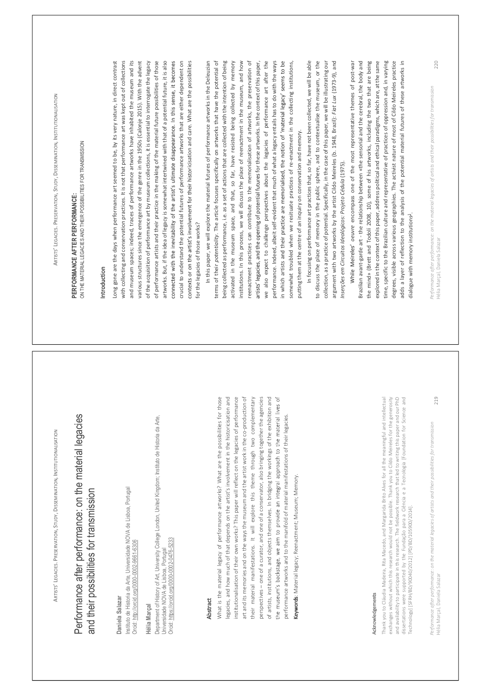ARTISTS LEGACIES. PRESERVATION, STUDY, DISSEMINATION, INSTITUTIONALISATION 219 Performance after performance: on the material legacies of artists and their possibilities for transmission Performance after performance: on the material legacies and their possibilities for transmission Daniela Salazar Instituto de Historia da Arte, Universidade NOVA de Lisboa, Portugal Orcid: http://orcid.org/0000-0002-9661-6306 Hélia Marçal Department of History of Art, University College London, United Kingdom; Instituto de Historia da Arte, Universidade NOVA de Lisboa, Portugal Orcid: https://orcid.org/0000-0002-0476-5233 Hélia Marçal, Daniela Salazar Abstract What is the material legacy of performance artworks? What are the possibilities for those legacies, and how much of that depends on the artist's involvement in the historicisation and institutionalisation of their own works? This paper will reflect on the legacies of performance art and its memories and on the ways the museum and the artist work in the co-production of their material manifestations. It will explore this theme through two complementary perspectives one of a curator, and one of a conservator, also bringing together the agencies of artists, institutions, and objects themselves. In bridging the workings of the exhibition and performance artworks and to the manifold of material manifestations of their legacies. Keywords: Material legacy; Reenactment; Museum; Memory. Acknowledgements Thank you to Cláudia Madeira, Rita Macedo, and Margarida Brito Alves for all the meaningful and intellectual exchanges without which this research would not be possible. Thank you to Cildo Meireles for the generosity and availability to participate in this research. The fieldwork research that led to writing this paper and our PhD dissertations were supported by the Fundação para a Ciência e a Tecnologia [Foundation for Science and Technology] [SFRH/BD/90040/2012] [PD/BD/105900/2014]. ARTISTS LEGACIES. PRESERVATION, STUDY, DISSEMINATION, INSTITUTIONALISATION 220 Performance after performance: on the material legacies of artists and their possibilities for transmission PERFORMANCE AFTER PERFORMANCE: ON THE MATERIAL LEGACIES AND THEIR POSSIBILITIES FOR TRANSMISSION Hélia Marçal, Daniela Salazar Introduction Long gone are the days when performance art seemed to be, by its very nature, in direct contrast with collecting and conservation practices. It is not that performance art was kept out of collections and museum spaces; indeed, traces of performance artworks have inhabited the museum and its various structures since the emergence of the genre in the 1950s (Calonje 2015). With the advent of the acquisition of performance art by museum collections, it is essential to interrogate the legacy of performance artists and their practice in the making of the material future possibilities of those artworks. But, if the idea of legacy is somewhat intertwined with that of a potential future, it is also crucial to understand the potential futures of performance artworks that are either dependent on icisation and care. What are the possibilities for the legacies of those works? In this paper, we will explore the material futures of performance artworks in the Deleuzian terms of their potentiality. The article focuses specifically on artworks that have the potential of being collected as performance, i.e. as a set of actions that are collected with the intention of being activated in the museum space, and that, so far, have resisted being collected by memory institutions. In this process, we will discuss the place of reenactment in the museum, and how reenactment practices can contribute to the memorialisation of artworks, the preservation of or these artworks. In the context of this paper, we also expect to challenge perspectives about the legacies of performance art after the performance. Indeed, albeit self-evident that much of what a legacy entails has to do with the ways in which artists a somewhat troubled when we resituate practices of re-enactment in the collecting institutions, putting them at the centre of an inquiry on conservation and memory. In focusing on performance art practices that, so far, have not been collected, we will be able to discuss the place of memory in the public sphere, and to contextualise the museum, or the collection, as a practice of potential. Specifically, in the case of this paper, we will be illustrating our argument with two artworks by the artist Cildo Meireles (b. 1948, Brazil): Fiat Lux (1973-9), and Inserções em Circuitos Ideológicos: Projeto Cédula (1975). oeuvre encompass one of the most representative themes of post-war Brazilian avant-garde art - the relationship between «the sensorial and the cerebral, the body and the mind» (Brett and Todolí 2008, 10), some of his artworks, including the two that are being explored in the context of this paper, address political and ethical paradigms, which are, at the same time, specific to the Brazilian culture and representative of practices of oppression and, in varying degrees, visible across various geographies. The activist nature of most of Cildo Meireles practice adds a layer of reflection to the analysis of the potential material futures of these artworks in dialogue with memory institutions1.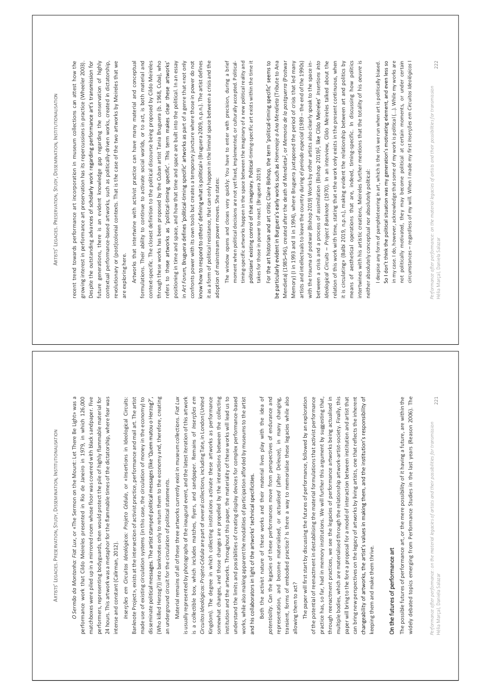ARTISTS LEGACIES. PRESERVATION, STUDY, DISSEMINATION, INSTITUTIONALISATION 221 Performance after performance: on the material legacies of artists and their possibilities for transmission Hélia Marçal, Daniela Salazar O Sermão da Montanha: Fiat Lux, or «The Sermon on the Mount: Let There Be Light» was a performance work that Cildo Meireles presented in Rio de Janeiro in 1979, in which 126,000 matchboxes were piled up in a mirrored room whose floor was covered with black sandpaper. Five performers, representing bodyguards, then would protect the pile of highly flammable material for 24 hours. This artwork was a metaphor for the flammable times of the dictatorship, where fear was intense and constant (Calirman, 2012). Inserções em Circuitos Ideológicos: Projeto Cédula, or «Insertions in Ideological Circuits: Banknote Project», exists at the intersection of activist practice, performance and mail art. The artist made use of existing circulation systems (in this case, the circulation of money in the economy) to disseminate p (Who killed Herzog?)) into banknotes only to return them to the economy and, therefore, creating an underground circuit for the circulation of political statements. Material remains of all of these three artworks currently exist in museum collections. Fiat Lux is usually represented by photographs of the inaugural event, and the latest iteration of this artwork is a collectible box, which includes matches, flyers, and sandpaper. Remains of Inserções em Circuitos Ideológicos: Projeto Cédula are part of several collections, including Tate, in London (United Kingdom). The degree in which collecting institutions activate these artworks as performance somewhat changes, and those changes are propelled by the interactions between the collecting institution and the artworks. Throughout this paper, the materiality of these works will lead us to understand the limits and possibilities of creating display devices for complex performance-based works, while also making apparent the modalities of participation afforded by museums to the artist Both the activist nature of these works and their material lives play with the idea of potentiality. Can the legacies of these performances move from perspectives of endurance and representation, and become materialised, or actualised (after Deleuze), in many changing, transient, forms of embodied practice? Is there a way to memorialise these legacies while also allowing them to act? The paper will first start by discussing the futures of performance, followed by an exploration of the potential of reenactment in destabilising the material formulations that activist performance practice has, so far, had in memory institutions. We will further this argument by suggesting that, through reenactment practices, we see the legacies of performance artworks being actualised in multiple bodies, which are materialised through the relationship artwork-artist-society. Finally, this paper will bring to the fore a proposal for a model of interaction between institution and artist that can bring new perspectives on the legacy of artworks by living artists, one that reflects the inherent keeping them and make them thrive. On the futures of performance art The possible futures of performance art, or the mere possibility of it having a future, are within the widely debated topics emerging from Performance Studies in the last years (Reason 2006). The ARTISTS LEGACIES. PRESERVATION, STUDY, DISSEMINATION, INSTITUTIONALISATION 222 Performance after performance: on the material legacies of artists and their possibilities for transmission recent trend towards performance art incorporation in museum collections can attest how the growing interest in performance art preservation has its repercussions in practice (Wheeler 2003). Despite the outstanding advanc Hélia Marçal, Daniela Salazar future generations, there is an evident knowledge gap regarding the conservation of highly contextual performance-based artworks, such as politically-driven works, created in dictatorship, revolutionary or (post)colonial contexts. That is the case of the two artworks by Meireles that we are exploring here. Artworks that intertwine with activist practice can have many material and conceptual formulations. Their ability to continue to activate social worlds, or to act, is both material and context-specific. The closest definition to the political discourse being proposed by Cildo Meireles through these works has been proposed by the Cuban artist Tania Bruguera (b. 1968, Cuba), who refers to the - positioning in time and space, and how that time and space are built into the political. In an essay in Art Forum - rt of a genre that «not only confronts power with its own tools but creates a temporary juncture where those in power do not » (Bruguera 2009, n.p.n.). The artist defines it as a form of political resistance, that can only happen in the liminal space between a crisis and the adoption of mainstream power moves. She states: The window opens and closes very quickly: You have to enter with precision, during a brief moment when political decisions are not yet fixed, implemented, or culturally accepted. Political- timing-specific artworks happen in the space between the imaginary of a new political reality and -timing-specific art exists within the time it takes for those in power to react. (Bruguera 2019) - Homenaje a Ana Mendieta (Tribute to Ana Mendieta) (1985 96), created after the death of Mendieta2, or Memoria de la postguerra (Postwar Memory) (I in 1993 and II in 1994), where Bruguera juxtaposed the period of crisis that led many artists and intellectuals to leave the country during el periodo especial (1989 the end of the 1990s) with the trauma of postwar (Bishop 2019) Works by other artists also clearly speak to the space in- between a crisis and a process of assimilation (Bishop 2019)3, Insertions into Ideological Circuits Project Banknote (1970). In an interview, Cildo Meireles talked about the relation of this work with time, stating that «the work only exists in the present continuous, when it is circulating» (Balbi 2019, n.p.n.), making evident the relationship between art and politics by means of aesthetical operations that are, indeed, timing-specific. In discussing how politics intertwines with his artistic creations, Meireles further mentions that the totality of his oeuvre is neither absolutely conceptual nor absolutely political: I despise any form of pamphleteering in art, which is the risk we run when art is politically biased. in my case. I do, however, acknowledge that some of my work is political (...). While my works are not politically motivated, they may become political at certain moments, or under certain circumstances regardless of my will. When I made my first Inserções em Circuitos Ideológicos I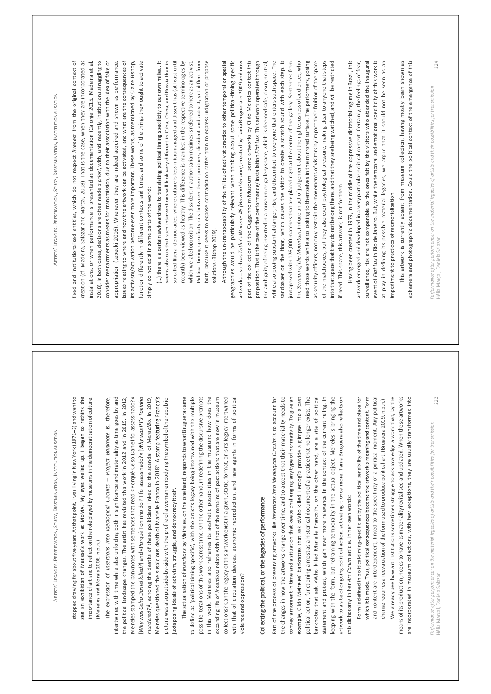ARTISTS LEGACIES. PRESERVATION, STUDY, DISSEMINATION, INSTITUTIONALISATION 223 Performance after performance: on the material legacies of artists and their possibilities for transmission Hélia Marçal, Daniela Salazar stopped drawing for about five years. At that point, I was living in New York (1971 3) and went to importance of art and to reflect on the role played by museums in the democratisation of culture. (Meireles and Morais 2008, n.p.n.) The expression of Insertions into Ideological Circuits Project Banknote is, therefore, intertwined with time while also unfolding both in significance and materiality as time goes by and the political landscape changes. The artist has revisited this work in 2012 and in 2019. In 2012, Meireles stamped the banknotes with sentences that read «Porquê Celso Daniel foi assassinado?» [Why was Celso Daniel killed?] and «Porquê Toninho do PT foi assassinado?» [ murdered?]4, echoing the deaths of these politicians linked to the scandal of Mensalão. In 2019, Meireles questioned the suspicious death of Marielle Franco in 20185. picture was also put side-by-side with the profile of a woman embodying the symbol of the republic, juxtaposing ideals of activism, struggle, and democracy itself. The actualisation of Insertions by Meireles, on the one hand, responds to what Bruguera came - possible iterations of this work across time. On the other hand, in redefining the discursive prompts in this work, Meireles also reframes its aesthetic possibilities in the museum: how does the expanding life of Insertions relate with that of the remains of past actions that are now in museum collections? Can the legacy of this artwork exist in a given, static, format, or is its legacy intertwined with that of circulation devices, economic reproduction, and new agents in forms of political violence and oppression? Collecting the political, or the legacies of performance Part of the process of preserving artworks like Insertions into Ideological Circuits is to account for the changes in how the artworks change over time, and to accept that their materiality needs to convey a moment in time and a situation that keeps challenging any type of normativity. To give an «Who killed Herzog?» provide a glimpse into a past political action, functioning almost as a historical document of a practice that no longer exists. The banknotes that ask «Who killed Marielle Franco?», on the other hand, are a site of political statement and protest, which gain ever more relevance in the context of the current ruling. In keeping with the form, but reframing temporality in the actual object, Meireles is bringing the artwork to a site of ongoing political action, activating it once more. Tania Bruguera also reflects on this dichotomy in her Art Forum article. In her own words: Form is defined in political-timing-specific art by the political sensibility of the time and place for tent. Form and content are interdependent, linked to the specificity of a political moment. Any political change requires a reevaluation of the form used to produce political art. (Bruguera 2019, n.p.n.) We already see how art institutions sometimes struggle to acknowledge a work that, by the means of its production, needs to have its materiality revitalised and updated. When these artworks are incorporated in museum collections, with few exceptions, they are usually transformed into ARTISTS LEGACIES. PRESERVATION, STUDY, DISSEMINATION, INSTITUTIONALISATION 224 Performance after performance: on the material legacies of artists and their possibilities for transmission Hélia Marçal, Daniela Salazar fixed and institutionalised entities, which do not respect liveness from the original context of creation (cf. Madeira, Salazar and Marcal, 2018). That is the case, when they are incorporated as installations, or when performance is presented as documentation (Calonje 2015, Madeira et al. 2018). In both cases, decisions are often made a priori, with, until recently, institutions struggling to consider reenactments as means for transmission, due to their association with the idea of fake or appropriation (Lepecki 2016). Whenever they are indeed acquired and shown as performance, issues relating to where and how the artwork can be activated, and what are the consequences of its activism/activation become ever more important. These works, as mentioned by Claire Bishop, function differently in different contexts and times, and some of the things they ought to activate simply do not exist in some parts of the world: seems obvious that such interventions will look very different in Cuba, China, and Russia than in so-called liberal democracies, where culture is less micromanaged and dissent has (at least until recently) been viewed as healthy. This difference is manifest in the respective terminologies by which we label opposition: The dissident in authoritarian regimes is referred to here as an activist. Political timing specificity sits between these positions, dissident and activist, yet differs from both, because it seeks to expose contradiction rather than to express indignation or propose solutions (Bishop 2019). Although the un-transposability of the milieu of activist practice to other temporal or spatial geographies would be particularly relevant when thinking about some political-timing specific artworks such as Tatlin's Whisper #6 (Havana Version), created by Tania Bruguera in 2009 and now part of the collection of the Guggenheim Museum - some artworks by Cildo Meireles contest this proposition. That is the case of the performance/ installation Fiat Lux. This artwork operates through the ambiguity of being inserted in a museum or gallery space, which is deemed safe, clean, neutral, while also posing substantial danger, risk, and discomfort to everyone that enters such space. The sandpaper on the floor, which causes the visitor to create a scratch sound with each step, is juxtaposed with 126,000 matches that are placed right at the centre of the gallery. Sentences from the Sermon of the Mountain, induce an act of judgement about the righteousness of audiences, who read those words while also looking to themselves in the mirrored surface. The performers, posing as security officers, not only restrain the movements of visitors by impact their fruition of the space of the matchboxes, but they also exert psychological pressure, making clear to anyone that steps into that space that they do not belong there, and that they are being watched, and will be restricted if need. This space, this artwork, is not for them. Having been created in 1979, in the middle of the oppressive dictatorial regime in Brazil, this artwork emerged and developed in a very particular political context. Certainly, the feelings of fear, surveillance, risk are not comparable to the ones felt by the visitors who attended the inaugural event of Fiat Lux in Rio de Janeiro. But, while the temporal and emotional specificity of this work is at play in defining its possible material legacies, we argue that it should not be seen as an impediment to practices of memorialisation. This artwork is currently absent from museum collection, having mostly been shown as ephemera and photographic documentation. Could the political context of the emergence of this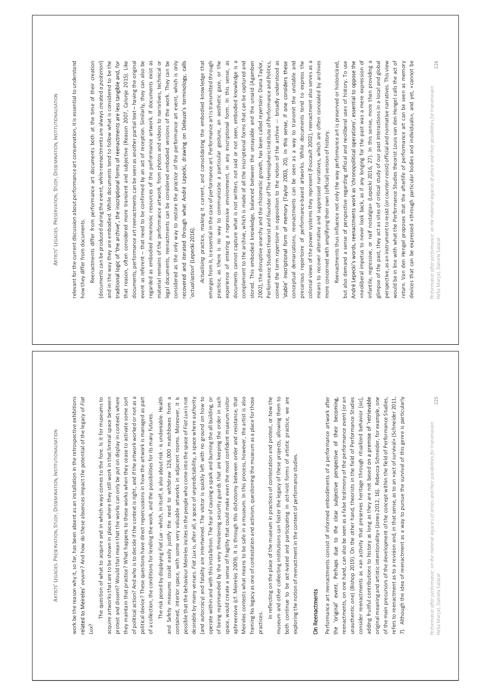ARTISTS LEGACIES. PRESERVATION, STUDY, DISSEMINATION, INSTITUTIONALISATION 225 Performance after performance: on the material legacies of artists and their possibilities for transmission work be the reason why it, so far, has been absent as an installation in the retrospective exhibitions Hélia Marçal, Daniela Salazar oeuvre? And how do these absences impact the potential of the legacy of Fiat Lux? The question of what to acquire and in which ways comes to the fore. Is it for museums to acquire artworks that are to be shown in places where they still work in that liminal space between protest and dissent? Would that mean that the works can only be put on display in contexts where they maintain that practice? What happens to these works when they cease to activate some sort of political action? And who is to decide if the context is right, and if the artwork worked or not as a political device? These questions have direct repercussions in how the artwork is managed as part of a collection, the conditions for lending the work, and the possibilities for its many futures. The risk posed by displaying Fiat Lux - which, in itself, is also about risk - is undeniable. Health and Safety measures could easily justify the need to withdraw 126,000 matchboxes from a contained, interior space, with some very valuable artworks in adjacent rooms. Moreover, it is possible that the behaviour Meireles incites in the people who come into the space of Fiat Lux is not desirable by many venues. Fiat Lux is, after all, a space of unpredictability, a space where authority (and autocracy) and fatality are intertwined. The visitor is quickly left with no ground on how to operate within and with this installation. The fear of causing a spark and burning the all building, or of being reprimanded by the very threatening security guards that are keeping the order in such space, would create a sense of fragility that could make even the most confident museum visitor aphreensive (cf. Meireles 2009). It is through this dichotomy between order and resistance, that Meireles contests what means to be safe in a museum. In this process, however, the artist is also framing his legacy as one of contestation and activism, questioning the museum as a place for those practices. In reflecting on the place of the museum in practices of contestation and protest, or how the museum and other collecting institutions can foster the legacy of these projects, allowing them to both continue to be act-ivated and participating in act-ivist forms of artistic practice, we are exploring the notion of reenactment in the context of performance studies. On Reenactments Performance art reenactments consist of informed embodiments of a performance artwork after reenactments, on one hand, can also be seen as a false testimony of the performance event (or an unauthentic one) (Bishop 2019). On the other hand, theorists in the field of Performance Studies consider reenactments as «an activity that preserves heritage through ritualized behavior [sic], adding fruitful contributions to history as long as they are not based original meaning and artistic intentionality» (Jones 2012, 16). Rebecca Schneider, for example, one of the main precursors of the development of the concept within the field of Performance Studies, refers to reenactment as to a revision and, in that sense, as to an «act of survival» (Schneider 2011, 7). Although the idea of reenactment as a way to pursue the survival of this genre is particularly ARTISTS LEGACIES. PRESERVATION, STUDY, DISSEMINATION, INSTITUTIONALISATION 226 Performance after performance: on the material legacies of artists and their possibilities for transmission relevant for the current discussion about performance art conservation, it is essential to understand how they differ from documents. Hélia Marçal, Daniela Salazar Reenactments differ from performance art documents both at the time of their creation (documents can be produced during the event, while reenactments are always created a posteriori) and in the way they are embodied. While documents tend to follow what is considered to be the that reason, often considered more transient and subjective (Reason 2007, Calonje 2015). Like documents, performance art reenactments can be seen as another partial text having the original event as referent that need to be confirmed by an act of reception. Similarly, they can also be regarded as embodied mnemonic resources of the performance artwork. If documents exist as material remains of the performance artwork, from photos and videos to narratives, technical or legal documents, reenactments can be considered embodied versions of the work. They can be considered as the only way to restore the practice of the performance art event, which is only actualisation Actualising practice, making it current, and consolidating the embodied knowledge that emerges from it, is essential in the case of performance art. Performance art is transmitted through practice, as there is no way to communicate a particular gesture, an aesthetic gaze, or the experience of entering a repressive environment, in any inscriptional form. In this sense, as documents cannot capture what is not written, not said or not seen, embodied knowledge is a complement to the archive, which is made of all the inscriptional forms that can be captured and stored. This embodied knowledge, balanced between the unsayable and the unsaid (Agamben 2002), the disruptive anarchy and the rhizomatic growth, has been called repertoire. Diana Taylor, Performance Studies theorist and founder of The Hemispheric Institute of Performance and Politics, coined the term repertoire in opposition to the notion of the archive broadly understood as conceptual demarcations, reenactments can be seen as a way to transmit the unstable and precarious repertoire of performance-based artworks. While documents tend to express the colonial views of the power systems they represent (Foucault 2002), reenactment also serves as a means to recover alternative and suppressed narratives, which are often concealed by archives more concerned with amplifying their own (official) version of history. Reenactments thus influence not only the way performance art is preserved or historicized, but also demand a sense of perspective regarding official and neoliberal uses of history. To use «neoliberal impetus to never look back, as if any longing for the past was a mere expression of infantile, regressive, or naïf nostalgia» (Lepecki 2016, 27). In this sense, more than providing a glimpse of the past, they act as sites of critical study of our past interactions in a local and global perspective, as an instrument to resist (or counter-resist) official and normative narratives. This view would be in line with what the Performance Studies theorist Louis van den Hengel calls the act of return. Van den Hengel proposes that the afterlife of performance art can be seen as memory devices that can be expressed «through particular bodies and individuals», and yet, «cannot be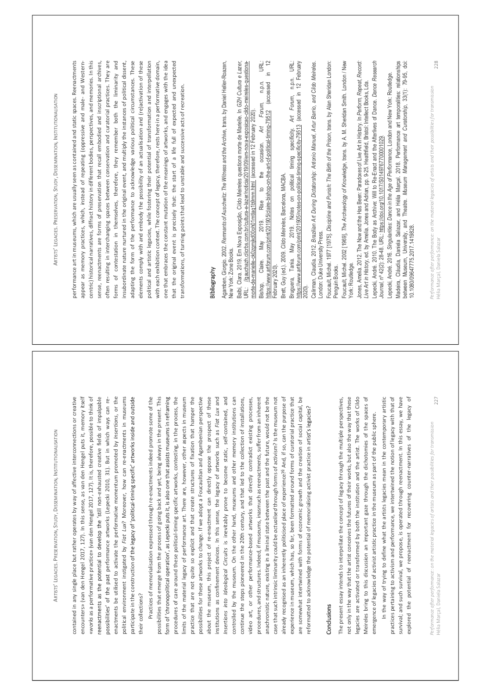ARTISTS LEGACIES. PRESERVATION, STUDY, DISSEMINATION, INSTITUTIONALISATION 227 Performance after performance: on the material legacies of artists and their possibilities for transmission contained in any single place but rather operates by way of affective interconnections or creative encounters Hélia Marçal, Daniela Salazar » (van den Hengel 2017, 127). In this sense, as van den Hengel puts it, memory itself «works as a performative practice» (van den Hengel 2017, 127). It is, therefore, possible to think of -exhausted creative fields of impalpable erformance artworks (Lepecki 2010, 31). But in which ways can re- enactments be utilised to activate the performative momentum promoted by Insertions, or the political environment instigated by Fiat Lux? Moreover, how can re-enactments in museums participate in the construction - their collections? Practices of memorialisation expressed through re-enactments indeed promote some of the possibilities that emerge from the process of going back and yet, being always in the present. This procedures of care around these political-timing specific artworks, contesting, in the process, the limits of the material legacy of performance art. There are, however, other aspects in museum practice that are not quite so explicit and that create structures of fixation that hamper the possibilities for these artworks to change. If we adopt a Foucaultian and Agambenian perspective about the museum, this project of re-enactment can directly oppose the prospect of these institutions as confinement devices. In this sense, the legacy of artworks such as Fiat Lux and Insertions into Ideological Circuits is inevitably prone to become static, self-contained, and controlled by the museum. On the other hand, museums and other memory institutions can continue the steps pioneered in the 20th century, and that led to the collection of installations, video art, or other performance-based artworks that directly contradict existing processes, procedures, and structures. Indeed, if museums, inasmuch as reenactments, suffer from an inherent anachronistic nature, existing in a liminal state between the past and the future, would not be the case that such intrinsic liminarity could be actualised through forms of activism? Is the museum not already recognised as an inherently politicised place of experience?6 And, if so, can the purpose of experience in museum, which has, so far, been formatted around forms of curatorial practice that are somewhat intertwined with forms of economic growth and the creation of social capital, be reformatted to acknowledge the potential of memorialising activist practice in art Conclusions The present essay intends to interpellate the concept of legacy through the multiple perspectives, not only in the way that the artist conceives the futures of their works, but also the way that these legacies are activated or transformed by both the institution and the artist. The works of Cildo Meireles bring to this discussion an important gaze through the dichotomies of the spaces of emergence of legacies of activist artistic practice in the museum as part of the public sphere. In the way of trying to define what the artists legacies mean in the contemporary artistic practices pertaining to activism and performance, we intertwined the notion of legacy with that of survival; and such survival, we propose, is operated through reenactment. In this essay, we have explored the potential of reenactment for recovering counter-narratives of the legacy of ARTISTS LEGACIES. PRESERVATION, STUDY, DISSEMINATION, INSTITUTIONALISATION 228 Performance after performance: on the material legacies of artists and their possibilities for transmission performance art in museums, which are usually seen as contained and static spaces. Reenactments appear as memory practices, which, instead of repeating (oppressive and male- and Western- centric) historical narratives, diffract history in different bodies, perspectives, and memories. In this sense, reenactments are forms of preservation that recall embodied and inscriptional archives, often resulting in interchanging spaces between conservation and curatorial practices. They are Hélia Marçal, Daniela Salazar forms of contestation in themselves, therefore, they remember both the liminarity and insubordinate nature nurtured in the original event, and multiply the instances of political dissent, adapting the form of the performance to acknowledge various political circumstances. These elements comply with and embody the possibility of an actualisation and (re)activation of these political and artistic legacies, while fostering their potential of transformation and interpellation with each exhibition context. The concept of legacy, therefore, rests here in a performative domain, one that embraces the constant mutation of the meanings of artworks, and engages with the idea that the original event is precisely that: the start of a life full of expected and unexpected transformations, of turning points that lead to unstable and successive acts of recreation. Bibliography Agamben, Giorgio. 2002. Remnants of Auschwitz: The Witness and the Archive, trans. by Daniel Heller-Roazen, New York: Zone Books. Balbi, Clara. 2019. Em Nova Exposição, Cildo Meireles questiona morte de Marielle. In GZH Cultura e Lazer, URL: //gauchazh.clicrbs.com.br/cultura-e-lazer/noticia/2019/09/em-nova-exposicao-cildo-meireles-questiona- morte-de-marielle-ck0zgmjkd00oh01mtlaq1b9mm.html (accessed in 12 February 2020). Bishop, Claire. May 2019. Rise to the occasion. Art Forum, n.p.n. URL: https://www.artforum.com/print/201905/claire-bishop-on-the-art-of-political-timing-79512 (accessed in 12 February 2020). Brett, Guy (ed.). 2009. Cildo Meireles, Barcelona, MACBA. Bruguera, Tania. May 2019. Notes on political timing specificity. Art Forum, n.p.n. URL: https://www.artforum.com/print/201905/notes-on-political-timing-specificity-79513 (accessed in 12 February 2020). Calirman, Claudia. 2012. Brazilian Art During Dictatorship: Antonio Manuel, Artur Barrio, and Cildo Meireles. London: Duke University Press. Foucault, Michel. 1977 [1975]. Discipline and Punish: The Birth of the Prison, trans. by Alan Sheridan London: Penguin Books. Foucault, Michel. 2002 [1969], The Archaeology of Knowledge, trans. by A. M. Sheridan Smith. London / New York: Routledge. Jones, Amelia. 2012. The Now and the Has Been: Paradoxes of Live Art in History. In Perform, Repeat, Record: Live Art in History, ed. by Amelia. Jones and Adrian, pp. 9-25. Heathfield, Bristol: Intellect Books, Lda. Lepecki, André. 2010. The Body as Archive: Will to Re-Enact and the Afterlives of Dance. Dance Research Journal, nº 42(2): 28-48. URL: https://doi.org/10.1017/S0149767700001029. Lepecki, André. 2016. Singularities: Dance in the Age of Performance, London and New York: Routledge. Madeira, Cláudia, Daniela Salazar, and Hélia Marçal. 2018. Performance art temporalities: relationships between Museum, University, and Theatre. Museum Management and Curatorship, 33(1): 79-95, doi: 10.1080/09647775.2017.1419828.